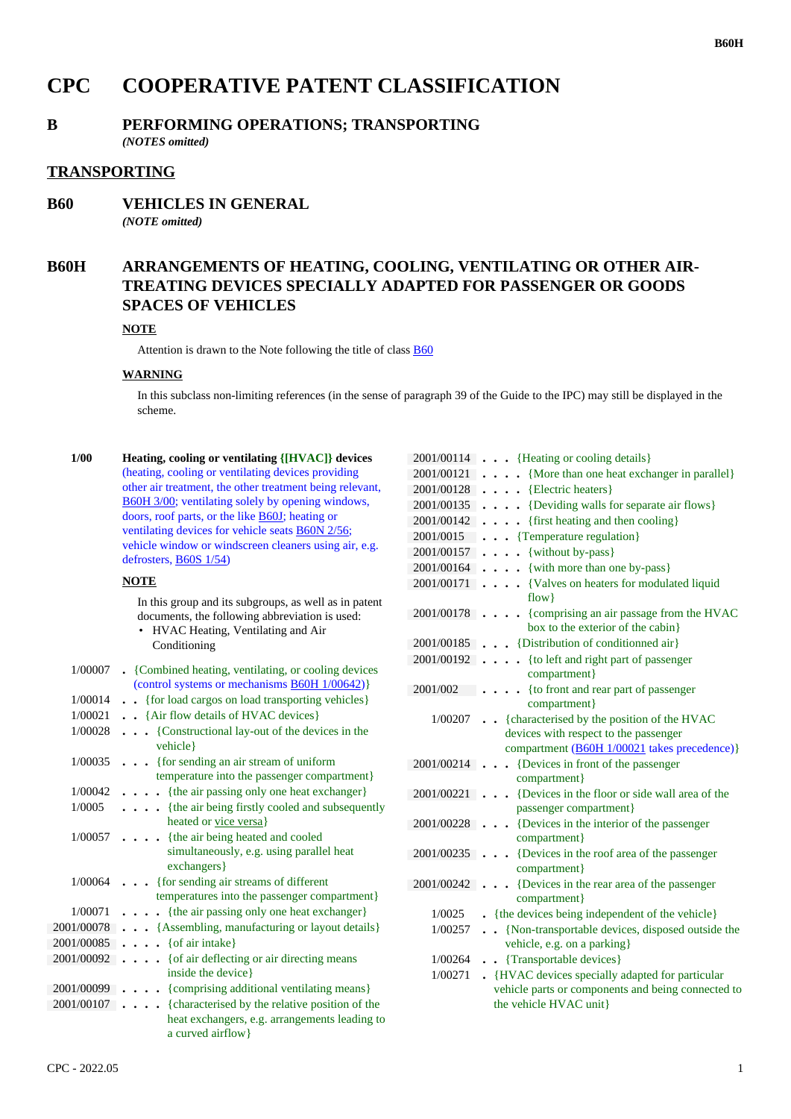# **CPC COOPERATIVE PATENT CLASSIFICATION**

## **B PERFORMING OPERATIONS; TRANSPORTING**

*(NOTES omitted)*

### **TRANSPORTING**

**B60 VEHICLES IN GENERAL** *(NOTE omitted)*

## **B60H ARRANGEMENTS OF HEATING, COOLING, VENTILATING OR OTHER AIR-TREATING DEVICES SPECIALLY ADAPTED FOR PASSENGER OR GOODS SPACES OF VEHICLES**

#### **NOTE**

Attention is drawn to the Note following the title of class B60

#### **WARNING**

In this subclass non-limiting references (in the sense of paragraph 39 of the Guide to the IPC) may still be displayed in the scheme.

 **1/00 Heating, cooling or ventilating {[HVAC]} devices** (heating, cooling or ventilating devices providing other air treatment, the other treatment being relevant, B60H 3/00; ventilating solely by opening windows, doors, roof parts, or the like B60J; heating or ventilating devices for vehicle seats B60N 2/56; vehicle window or windscreen cleaners using air, e.g. defrosters, B60S 1/54)

#### **NOTE**

In this group and its subgroups, as well as in patent documents, the following abbreviation is used: • HVAC Heating, Ventilating and Air Conditioning

| 1/00007    | • {Combined heating, ventilating, or cooling devices<br>(control systems or mechanisms <b>B60H</b> 1/00642)} |
|------------|--------------------------------------------------------------------------------------------------------------|
|            |                                                                                                              |
| 1/00014    | {for load cargos on load transporting vehicles}                                                              |
| 1/00021    | . . {Air flow details of HVAC devices}                                                                       |
| 1/00028    | {Constructional lay-out of the devices in the<br>vehicle }                                                   |
| 1/00035    | $\ldots$ {for sending an air stream of uniform}                                                              |
|            | temperature into the passenger compartment}                                                                  |
| 1/00042    | {the air passing only one heat exchanger}                                                                    |
| 1/0005     | . {the air being firstly cooled and subsequently<br>heated or vice versa}                                    |
|            | $1/00057$ {the air being heated and cooled<br>simultaneously, e.g. using parallel heat<br>exchangers }       |
|            | $1/00064$ {for sending air streams of different                                                              |
|            | temperatures into the passenger compartment}                                                                 |
| 1/00071    | $\ldots$ {the air passing only one heat exchanger}                                                           |
| 2001/00078 | {Assembling, manufacturing or layout details}                                                                |
|            | $2001/00085$ { of air intake}                                                                                |
|            | 2001/00092 { of air deflecting or air directing means<br>inside the device                                   |
|            | 2001/00099 {comprising additional ventilating means}                                                         |
| 2001/00107 | {characterised by the relative position of the                                                               |
|            | heat exchangers, e.g. arrangements leading to<br>a curved airflow}                                           |

| 2001/00114 | {Heating or cooling details}                                                  |
|------------|-------------------------------------------------------------------------------|
| 2001/00121 | {More than one heat exchanger in parallel}                                    |
| 2001/00128 | {Electric heaters}                                                            |
| 2001/00135 | {Deviding walls for separate air flows}<br>$\bullet$                          |
| 2001/00142 | {first heating and then cooling}<br>$\ddot{\phantom{a}}$                      |
| 2001/0015  | {Temperature regulation}                                                      |
| 2001/00157 | {without by-pass}<br>$\ddot{\phantom{0}}$                                     |
| 2001/00164 | {with more than one by-pass}<br>$\cdot$ $\cdot$ $\cdot$                       |
| 2001/00171 | {Valves on heaters for modulated liquid                                       |
|            | $flow$ }                                                                      |
| 2001/00178 | {comprising an air passage from the HVAC<br>box to the exterior of the cabin} |
| 2001/00185 | • {Distribution of conditionned air}                                          |
| 2001/00192 | {to left and right part of passenger                                          |
|            | compartment}                                                                  |
| 2001/002   | {to front and rear part of passenger                                          |
|            | compartment}                                                                  |
| 1/00207    | {characterised by the position of the HVAC                                    |
|            | devices with respect to the passenger                                         |
| 2001/00214 | compartment (B60H 1/00021 takes precedence)}                                  |
|            | {Devices in front of the passenger<br>compartment}                            |
| 2001/00221 | {Devices in the floor or side wall area of the                                |
|            | passenger compartment}                                                        |
| 2001/00228 | {Devices in the interior of the passenger                                     |
|            | compartment}                                                                  |
| 2001/00235 | {Devices in the roof area of the passenger                                    |
|            | compartment}                                                                  |
| 2001/00242 | {Devices in the rear area of the passenger                                    |
|            | compartment}                                                                  |
| 1/0025     | - {the devices being independent of the vehicle}                              |
| 1/00257    | {Non-transportable devices, disposed outside the                              |
|            | vehicle, e.g. on a parking}                                                   |
| 1/00264    | {Transportable devices}                                                       |
| 1/00271    | {HVAC devices specially adapted for particular                                |
|            | vehicle parts or components and being connected to                            |
|            | the vehicle HVAC unit}                                                        |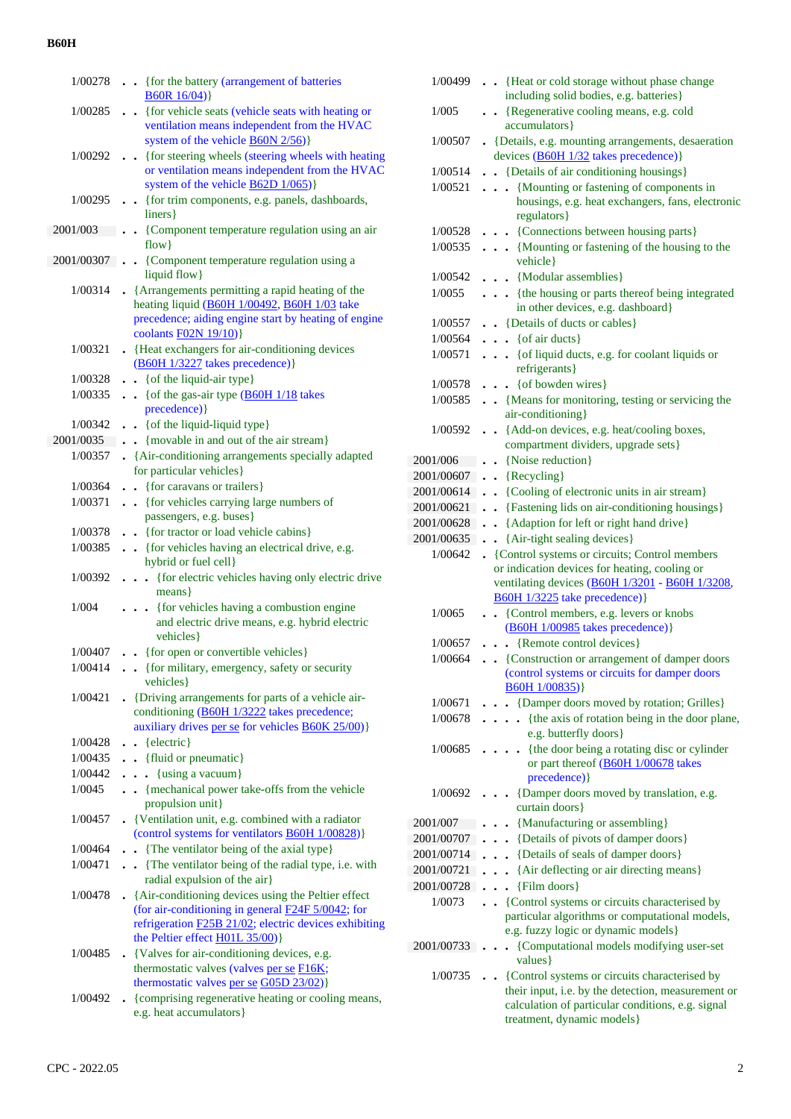| 1/00278              | . { for the battery (arrangement of batteries                                                                    |
|----------------------|------------------------------------------------------------------------------------------------------------------|
| 1/00285              | B60R16/04)<br>{for vehicle seats (vehicle seats with heating or<br>$\ddot{\phantom{0}}$                          |
|                      | ventilation means independent from the HVAC                                                                      |
|                      | system of the vehicle <b>B60N 2/56</b> )}                                                                        |
| 1/00292              | {for steering wheels (steering wheels with heating                                                               |
|                      | or ventilation means independent from the HVAC<br>system of the vehicle $\underline{B62D}$ 1/065)                |
| 1/00295              | • {for trim components, e.g. panels, dashboards,                                                                 |
|                      | liners }                                                                                                         |
| 2001/003             | • {Component temperature regulation using an air                                                                 |
|                      | $flow$ }                                                                                                         |
| 2001/00307.          | • {Component temperature regulation using a<br>liquid flow}                                                      |
| 1/00314              | • {Arrangements permitting a rapid heating of the                                                                |
|                      | heating liquid (B60H 1/00492, B60H 1/03 take                                                                     |
|                      | precedence; aiding engine start by heating of engine                                                             |
|                      | coolants F02N 19/10)}                                                                                            |
| 1/00321              | • {Heat exchangers for air-conditioning devices<br>(B60H 1/3227 takes precedence) }                              |
| 1/00328              | . . { of the liquid-air type}                                                                                    |
| 1/00335              | $\bullet$ $\bullet$ {of the gas-air type (B60H 1/18 takes                                                        |
|                      | precedence) }                                                                                                    |
| 1/00342              | . . { of the liquid-liquid type}                                                                                 |
| 2001/0035<br>1/00357 | . {movable in and out of the air stream}<br>• {Air-conditioning arrangements specially adapted                   |
|                      | for particular vehicles}                                                                                         |
| 1/00364              | {for caravans or trailers}<br>$\ddot{\phantom{0}}$                                                               |
| 1/00371              | . {for vehicles carrying large numbers of                                                                        |
|                      | passengers, e.g. buses}                                                                                          |
| 1/00378              | . {for tractor or load vehicle cabins}                                                                           |
| 1/00385              | . . {for vehicles having an electrical drive, e.g.<br>hybrid or fuel cell}                                       |
| 1/00392              | . { for electric vehicles having only electric drive                                                             |
|                      | means }                                                                                                          |
| 1/004                | . {for vehicles having a combustion engine                                                                       |
|                      | and electric drive means, e.g. hybrid electric<br>vehicles }                                                     |
| 1/00407              | . {for open or convertible vehicles}                                                                             |
| 1/00414              | • {for military, emergency, safety or security                                                                   |
|                      | vehicles}                                                                                                        |
|                      | 1/00421 • {Driving arrangements for parts of a vehicle air-<br>conditioning (B60H 1/3222 takes precedence;       |
|                      | auxiliary drives per se for vehicles <b>B60K 25/00</b> )}                                                        |
| 1/00428              | $\bullet$ $\bullet$ {electric}                                                                                   |
| 1/00435              | . . {fluid or pneumatic}                                                                                         |
| 1/00442              | $\cdots$ {using a vacuum}                                                                                        |
| 1/0045               | . . {mechanical power take-offs from the vehicle                                                                 |
| 1/00457              | propulsion unit}<br>• {Ventilation unit, e.g. combined with a radiator                                           |
|                      | (control systems for ventilators <b>B60H 1/00828</b> )}                                                          |
| 1/00464              | . The ventilator being of the axial type}                                                                        |
| 1/00471              | . The ventilator being of the radial type, i.e. with                                                             |
|                      | radial expulsion of the air}                                                                                     |
| 1/00478              | . {Air-conditioning devices using the Peltier effect<br>(for air-conditioning in general <b>F24F</b> 5/0042; for |
|                      | refrigeration <b>F25B 21/02</b> ; electric devices exhibiting                                                    |
|                      | the Peltier effect H01L 35/00)}                                                                                  |
| 1/00485              | • {Valves for air-conditioning devices, e.g.                                                                     |
|                      | thermostatic valves (valves per se F16K;<br>thermostatic valves per se G05D 23/02)}                              |
| 1/00492              | . {comprising regenerative heating or cooling means,                                                             |
|                      | e.g. heat accumulators}                                                                                          |

| 1/00499    | . . {Heat or cold storage without phase change                                                                                      |
|------------|-------------------------------------------------------------------------------------------------------------------------------------|
|            | including solid bodies, e.g. batteries}                                                                                             |
| 1/005      | . . {Regenerative cooling means, e.g. cold<br>accumulators }                                                                        |
| 1/00507    | • {Details, e.g. mounting arrangements, desaeration<br>devices (B60H 1/32 takes precedence)}                                        |
| 1/00514    | . . {Details of air conditioning housings}                                                                                          |
| 1/00521    | {Mounting or fastening of components in                                                                                             |
|            | housings, e.g. heat exchangers, fans, electronic<br>regulators}                                                                     |
| 1/00528    | {Connections between housing parts}                                                                                                 |
| 1/00535    | {Mounting or fastening of the housing to the<br>vehicle }                                                                           |
| 1/00542    | . {Modular assemblies}                                                                                                              |
| 1/0055     | . {the housing or parts thereof being integrated<br>in other devices, e.g. dashboard}                                               |
| 1/00557    | . . {Details of ducts or cables}                                                                                                    |
| 1/00564    | $\cdots$ { of air ducts }                                                                                                           |
| 1/00571    | { of liquid ducts, e.g. for coolant liquids or<br>refrigerants }                                                                    |
| 1/00578    | $\cdots$ { of bowden wires}                                                                                                         |
| 1/00585    | {Means for monitoring, testing or servicing the<br>air-conditioning}                                                                |
|            | 1/00592 {Add-on devices, e.g. heat/cooling boxes,                                                                                   |
|            | compartment dividers, upgrade sets}                                                                                                 |
| 2001/006   | • {Noise reduction}                                                                                                                 |
| 2001/00607 | $\bullet$ {Recycling}                                                                                                               |
| 2001/00614 | . {Cooling of electronic units in air stream}                                                                                       |
| 2001/00621 | . Plastening lids on air-conditioning housings }                                                                                    |
| 2001/00628 | . {Adaption for left or right hand drive}                                                                                           |
| 2001/00635 | . . {Air-tight sealing devices}                                                                                                     |
| 1/00642    | • {Control systems or circuits; Control members                                                                                     |
|            | or indication devices for heating, cooling or<br>ventilating devices (B60H 1/3201 - B60H 1/3208,<br>$B60H$ 1/3225 take precedence)} |
| 1/0065     | {Control members, e.g. levers or knobs<br>$\ddot{\phantom{0}}$                                                                      |
| 1/00657    | (B60H 1/00985 takes precedence)}                                                                                                    |
| 1/00664    | . . {Remote control devices}                                                                                                        |
|            | . . {Construction or arrangement of damper doors<br>(control systems or circuits for damper doors<br>B60H 1/00835) }                |
| 1/00671    | • {Damper doors moved by rotation; Grilles}                                                                                         |
| 1/00678    | {the axis of rotation being in the door plane,<br>$\mathbf{r}$<br>e.g. butterfly doors}                                             |
| 1/00685    | {the door being a rotating disc or cylinder<br>$\ddot{\phantom{0}}$<br>or part thereof (B60H 1/00678 takes<br>precedence) }         |
| 1/00692    | {Damper doors moved by translation, e.g.<br>curtain doors}                                                                          |
| 2001/007   | {Manufacturing or assembling}                                                                                                       |
| 2001/00707 | . . {Details of pivots of damper doors}                                                                                             |
| 2001/00714 | . . {Details of seals of damper doors}                                                                                              |
| 2001/00721 | . {Air deflecting or air directing means}                                                                                           |
| 2001/00728 | $\ldots$ {Film doors}                                                                                                               |
| 1/0073     | . . {Control systems or circuits characterised by                                                                                   |
|            | particular algorithms or computational models,<br>e.g. fuzzy logic or dynamic models}                                               |
| 2001/00733 | {Computational models modifying user-set<br>$\cdot$                                                                                 |
|            | values}                                                                                                                             |
| 1/00735    | {Control systems or circuits characterised by                                                                                       |
|            | their input, i.e. by the detection, measurement or                                                                                  |
|            |                                                                                                                                     |
|            | calculation of particular conditions, e.g. signal<br>treatment, dynamic models}                                                     |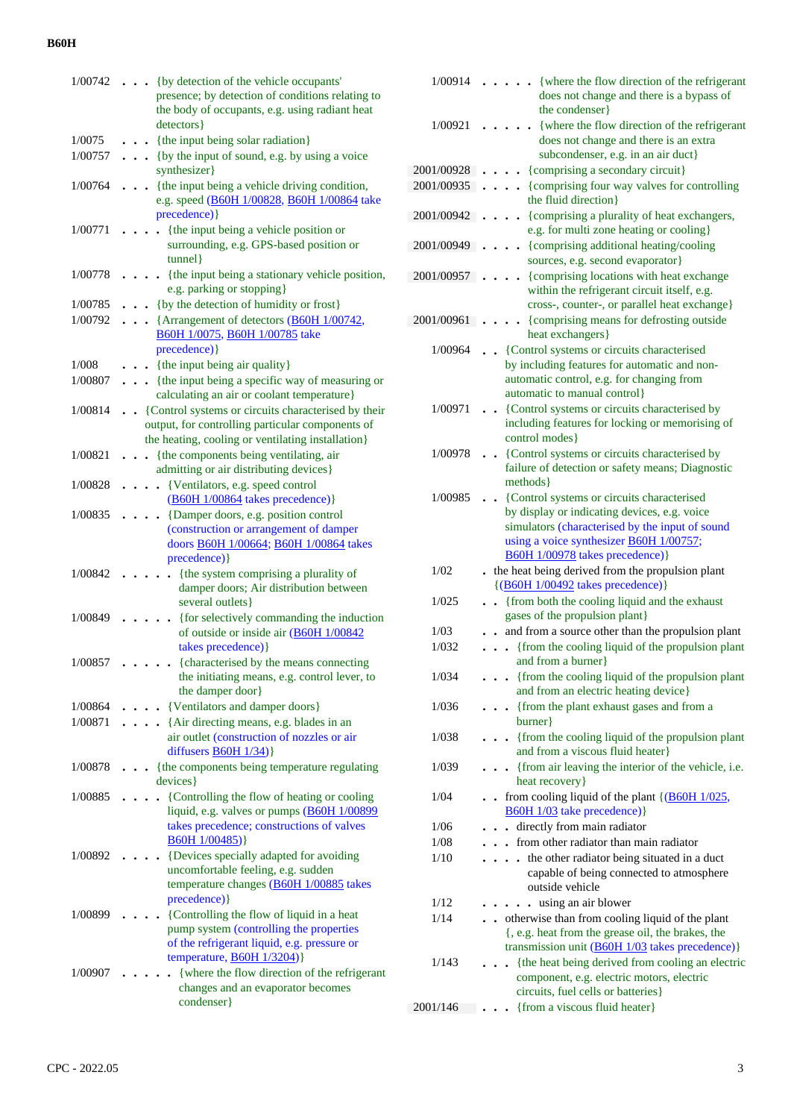| 1/00742            | {by detection of the vehicle occupants'<br>presence; by detection of conditions relating to           |
|--------------------|-------------------------------------------------------------------------------------------------------|
|                    | the body of occupants, e.g. using radiant heat                                                        |
|                    | detectors }                                                                                           |
| 1/0075             | {the input being solar radiation}                                                                     |
| 1/00757            | {by the input of sound, e.g. by using a voice<br>synthesizer}                                         |
| 1/00764            | {the input being a vehicle driving condition,                                                         |
|                    | e.g. speed (B60H 1/00828, B60H 1/00864 take                                                           |
|                    | precedence) }                                                                                         |
| 1/00771            | {the input being a vehicle position or<br>surrounding, e.g. GPS-based position or                     |
|                    | tunnel }                                                                                              |
| 1/00778            | {the input being a stationary vehicle position,                                                       |
|                    | e.g. parking or stopping}                                                                             |
| 1/00785<br>1/00792 | • {by the detection of humidity or frost}<br>• · {Arrangement of detectors (B60H 1/00742,             |
|                    | B60H 1/0075, B60H 1/00785 take                                                                        |
| 1/008              | precedence) }<br>{the input being air quality}                                                        |
| 1/00807            | {the input being a specific way of measuring or<br>$\ddot{\phantom{0}}$                               |
|                    | calculating an air or coolant temperature}                                                            |
| 1/00814            | {Control systems or circuits characterised by their                                                   |
|                    | output, for controlling particular components of<br>the heating, cooling or ventilating installation} |
| 1/00821            | {the components being ventilating, air                                                                |
|                    | admitting or air distributing devices}                                                                |
| 1/00828            | {Ventilators, e.g. speed control                                                                      |
|                    | (B60H 1/00864 takes precedence)}                                                                      |
| 1/00835            | {Damper doors, e.g. position control<br>(construction or arrangement of damper                        |
|                    | doors <b>B60H 1/00664</b> ; <b>B60H 1/00864</b> takes                                                 |
|                    | precedence) }                                                                                         |
| 1/00842            | {the system comprising a plurality of<br>damper doors; Air distribution between                       |
|                    | several outlets }                                                                                     |
| 1/00849            | {for selectively commanding the induction                                                             |
|                    | of outside or inside air (B60H 1/00842)                                                               |
| 1/00857            | takes precedence) }<br>{characterised by the means connecting                                         |
|                    | the initiating means, e.g. control lever, to                                                          |
|                    | the damper door }                                                                                     |
| 1/00864            | {Ventilators and damper doors}                                                                        |
| 1/00871            | {Air directing means, e.g. blades in an<br>air outlet (construction of nozzles or air                 |
|                    | diffusers $B60H$ 1/34)}                                                                               |
| 1/00878            | {the components being temperature regulating                                                          |
|                    | devices }                                                                                             |
| 1/00885            | {Controlling the flow of heating or cooling<br>liquid, e.g. valves or pumps (B60H 1/00899             |
|                    | takes precedence; constructions of valves                                                             |
|                    | B60H 1/00485)                                                                                         |
| 1/00892            | {Devices specially adapted for avoiding<br>uncomfortable feeling, e.g. sudden                         |
|                    | temperature changes (B60H 1/00885 takes                                                               |
|                    | precedence) }                                                                                         |
| 1/00899            | {Controlling the flow of liquid in a heat                                                             |
|                    | pump system (controlling the properties<br>of the refrigerant liquid, e.g. pressure or                |
|                    | temperature, <b>B60H</b> 1/3204)}                                                                     |
| 1/00907            | {where the flow direction of the refrigerant                                                          |
|                    | changes and an evaporator becomes                                                                     |
|                    | condenser}                                                                                            |

| 1/00914       | {where the flow direction of the refrigerant<br>does not change and there is a bypass of                                                      |
|---------------|-----------------------------------------------------------------------------------------------------------------------------------------------|
| 1/00921       | the condenser}<br>{where the flow direction of the refrigerant<br>does not change and there is an extra<br>subcondenser, e.g. in an air duct} |
| 2001/00928    | {comprising a secondary circuit}                                                                                                              |
| 2001/00935    | {comprising four way valves for controlling                                                                                                   |
|               | the fluid direction}                                                                                                                          |
| 2001/00942    | • {comprising a plurality of heat exchangers,<br>e.g. for multi zone heating or cooling}                                                      |
| 2001/00949    | {comprising additional heating/cooling<br>sources, e.g. second evaporator}                                                                    |
| 2001/00957    | {comprising locations with heat exchange<br>within the refrigerant circuit itself, e.g.<br>cross-, counter-, or parallel heat exchange}       |
| 2001/00961    | {comprising means for defrosting outside<br>heat exchangers}                                                                                  |
| 1/00964       | {Control systems or circuits characterised                                                                                                    |
|               | by including features for automatic and non-                                                                                                  |
|               | automatic control, e.g. for changing from                                                                                                     |
|               | automatic to manual control}                                                                                                                  |
| 1/00971       | {Control systems or circuits characterised by<br>including features for locking or memorising of                                              |
|               | control modes }                                                                                                                               |
| 1/00978       | {Control systems or circuits characterised by                                                                                                 |
|               | failure of detection or safety means; Diagnostic                                                                                              |
|               | methods }                                                                                                                                     |
| 1/00985       | {Control systems or circuits characterised                                                                                                    |
|               | by display or indicating devices, e.g. voice<br>simulators (characterised by the input of sound                                               |
|               | using a voice synthesizer <b>B60H</b> 1/00757;                                                                                                |
|               | B60H 1/00978 takes precedence) }                                                                                                              |
| 1/02          | . the heat being derived from the propulsion plant                                                                                            |
|               | $\{(B60H 1/00492 \ntakes precedence)\}$                                                                                                       |
| 1/025         | • {from both the cooling liquid and the exhaust                                                                                               |
|               | gases of the propulsion plant}                                                                                                                |
| 1/03<br>1/032 | and from a source other than the propulsion plant<br>{from the cooling liquid of the propulsion plant<br>$\ddot{\phantom{0}}$                 |
|               | and from a burner}                                                                                                                            |
| 1/034         | {from the cooling liquid of the propulsion plant<br>$\blacksquare$<br>and from an electric heating device}                                    |
| 1/036         | {from the plant exhaust gases and from a                                                                                                      |
|               | burner                                                                                                                                        |
| 1/038         | {from the cooling liquid of the propulsion plant                                                                                              |
|               | and from a viscous fluid heater}                                                                                                              |
| 1/039         | {from air leaving the interior of the vehicle, i.e.<br>heat recovery}                                                                         |
| 1/04          | from cooling liquid of the plant $\{(\underline{B60H} 1/025,$<br>$\ddot{\phantom{a}}$                                                         |
|               | B60H 1/03 take precedence) }                                                                                                                  |
| 1/06          | directly from main radiator                                                                                                                   |
| 1/08          | from other radiator than main radiator                                                                                                        |
| 1/10          | the other radiator being situated in a duct                                                                                                   |
|               | capable of being connected to atmosphere<br>outside vehicle                                                                                   |
| 1/12          | using an air blower                                                                                                                           |
| 1/14          | . . otherwise than from cooling liquid of the plant                                                                                           |
|               | {, e.g. heat from the grease oil, the brakes, the                                                                                             |
|               | transmission unit (B60H 1/03 takes precedence)}                                                                                               |
| 1/143         | {the heat being derived from cooling an electric                                                                                              |
|               | component, e.g. electric motors, electric                                                                                                     |
| 2001/146      | circuits, fuel cells or batteries}<br>{from a viscous fluid heater}                                                                           |
|               |                                                                                                                                               |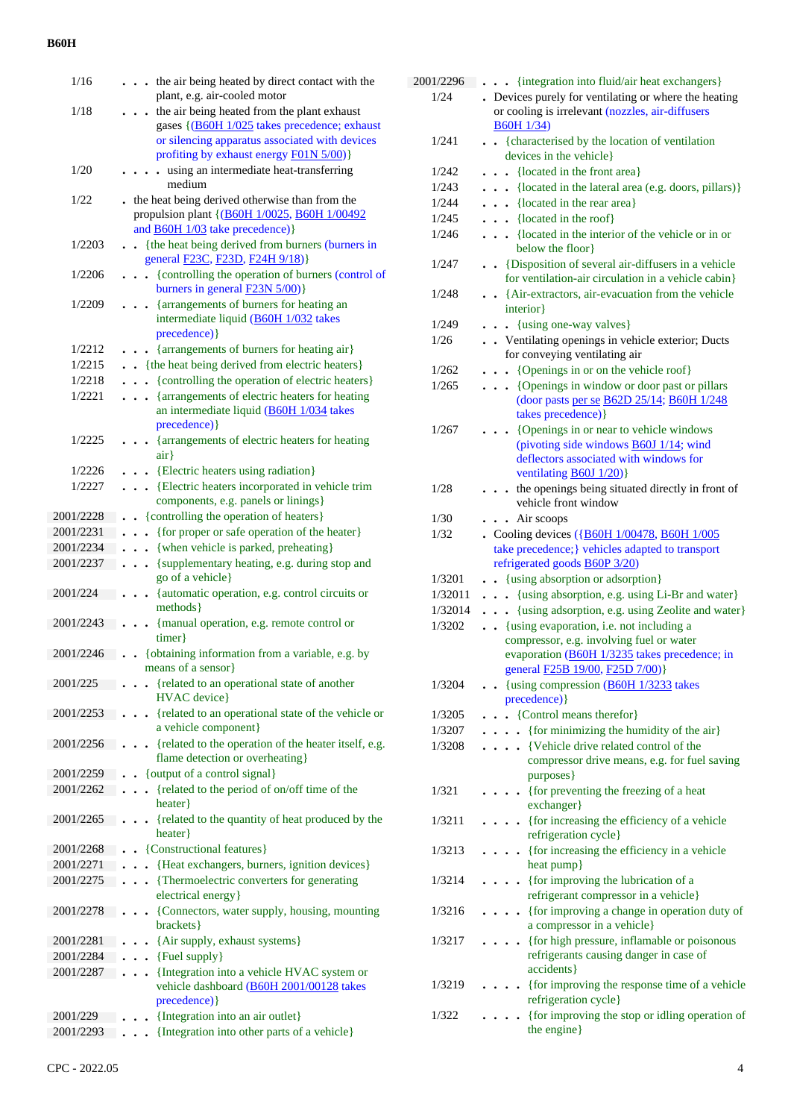| 1/16      | the air being heated by direct contact with the                                                                                               |
|-----------|-----------------------------------------------------------------------------------------------------------------------------------------------|
|           | plant, e.g. air-cooled motor                                                                                                                  |
| 1/18      | the air being heated from the plant exhaust<br>gases {(B60H 1/025 takes precedence; exhaust<br>or silencing apparatus associated with devices |
|           | profiting by exhaust energy F01N 5/00)}                                                                                                       |
| 1/20      | using an intermediate heat-transferring<br>$\overline{a}$<br>medium                                                                           |
| 1/22      | . the heat being derived otherwise than from the<br>propulsion plant {(B60H 1/0025, B60H 1/00492)<br>and <b>B60H 1/03</b> take precedence) }  |
| 1/2203    | {the heat being derived from burners (burners in<br>$\sim$<br>general F23C, F23D, F24H 9/18)}                                                 |
| 1/2206    | {controlling the operation of burners (control of<br>$\bullet$<br>burners in general $F23N 5/00$ }                                            |
| 1/2209    | {arrangements of burners for heating an<br>$\bullet$<br>intermediate liquid (B60H 1/032 takes<br>precedence) }                                |
| 1/2212    | {arrangements of burners for heating air}                                                                                                     |
| 1/2215    | . {the heat being derived from electric heaters}                                                                                              |
| 1/2218    | • {controlling the operation of electric heaters}                                                                                             |
| 1/2221    | {arrangements of electric heaters for heating                                                                                                 |
|           | an intermediate liquid (B60H 1/034 takes<br>precedence) }                                                                                     |
| 1/2225    | {arrangements of electric heaters for heating<br>air                                                                                          |
| 1/2226    | {Electric heaters using radiation}                                                                                                            |
| 1/2227    | {Electric heaters incorporated in vehicle trim                                                                                                |
|           | components, e.g. panels or linings}                                                                                                           |
| 2001/2228 | • {controlling the operation of heaters}                                                                                                      |
| 2001/2231 | {for proper or safe operation of the heater}                                                                                                  |
| 2001/2234 | {when vehicle is parked, preheating}                                                                                                          |
| 2001/2237 | {supplementary heating, e.g. during stop and<br>$\ddot{\phantom{a}}$<br>go of a vehicle}                                                      |
| 2001/224  | {automatic operation, e.g. control circuits or<br>methods }                                                                                   |
| 2001/2243 | {manual operation, e.g. remote control or<br>timer                                                                                            |
| 2001/2246 | {obtaining information from a variable, e.g. by<br>means of a sensor                                                                          |
| 2001/225  | {related to an operational state of another                                                                                                   |
| 2001/2253 | <b>HVAC</b> device}<br>{related to an operational state of the vehicle or                                                                     |
|           | a vehicle component}                                                                                                                          |
| 2001/2256 | {related to the operation of the heater itself, e.g.<br>flame detection or overheating}                                                       |
| 2001/2259 | • {output of a control signal}                                                                                                                |
| 2001/2262 | {related to the period of on/off time of the<br>heater }                                                                                      |
| 2001/2265 | {related to the quantity of heat produced by the<br>heater}                                                                                   |
| 2001/2268 | {Constructional features}                                                                                                                     |
| 2001/2271 | {Heat exchangers, burners, ignition devices}                                                                                                  |
| 2001/2275 | {Thermoelectric converters for generating<br>electrical energy}                                                                               |
| 2001/2278 | {Connectors, water supply, housing, mounting                                                                                                  |
|           | brackets}                                                                                                                                     |
| 2001/2281 | {Air supply, exhaust systems}                                                                                                                 |
| 2001/2284 | {Fuel supply}                                                                                                                                 |
| 2001/2287 | {Integration into a vehicle HVAC system or                                                                                                    |
|           | vehicle dashboard (B60H 2001/00128 takes<br>precedence) }                                                                                     |
| 2001/229  | {Integration into an air outlet}                                                                                                              |
| 2001/2293 | {Integration into other parts of a vehicle}                                                                                                   |
|           |                                                                                                                                               |

| 2001/2296         | {integration into fluid/air heat exchangers}                                                                     |
|-------------------|------------------------------------------------------------------------------------------------------------------|
| 1/24              | . Devices purely for ventilating or where the heating<br>or cooling is irrelevant (nozzles, air-diffusers        |
| 1/241             | <b>B60H 1/34)</b><br>{characterised by the location of ventilation<br>$\ddot{\phantom{0}}$                       |
|                   | devices in the vehicle}                                                                                          |
| 1/242             | • {located in the front area}                                                                                    |
| 1/243             | {located in the lateral area (e.g. doors, pillars)}                                                              |
| 1/244             | {located in the rear area}                                                                                       |
| 1/245             | $\bullet$ {located in the roof}                                                                                  |
| 1/246             | • {located in the interior of the vehicle or in or<br>below the floor                                            |
| 1/247             | . Disposition of several air-diffusers in a vehicle<br>for ventilation-air circulation in a vehicle cabin}       |
| 1/248             | • · {Air-extractors, air-evacuation from the vehicle<br>interior}                                                |
| 1/249             | {using one-way valves}<br>$\sim$ $\sim$                                                                          |
| 1/26              | • Ventilating openings in vehicle exterior; Ducts<br>for conveying ventilating air                               |
| 1/262             | {Openings in or on the vehicle roof}                                                                             |
| 1/265             | {Openings in window or door past or pillars<br>$\ddot{\phantom{a}}$<br>(door pasts per se B62D 25/14; B60H 1/248 |
|                   | takes precedence) }                                                                                              |
| 1/267             | • {Openings in or near to vehicle windows<br>(pivoting side windows $\underline{B60J}$ 1/14; wind                |
|                   | deflectors associated with windows for                                                                           |
|                   | ventilating $\underline{B60J}$ 1/20)                                                                             |
| 1/28              | . . the openings being situated directly in front of                                                             |
|                   | vehicle front window                                                                                             |
| 1/30              | . . Air scoops                                                                                                   |
| 1/32              | • Cooling devices ({B60H 1/00478, B60H 1/005                                                                     |
|                   | take precedence;} vehicles adapted to transport                                                                  |
|                   | refrigerated goods <b>B60P 3/20</b> )                                                                            |
| 1/3201<br>1/32011 | . {using absorption or adsorption}<br>$\bullet$<br>{using absorption, e.g. using Li-Br and water}                |
| 1/32014           | . {using adsorption, e.g. using Zeolite and water}                                                               |
| 1/3202            | . {using evaporation, i.e. not including a                                                                       |
|                   | compressor, e.g. involving fuel or water<br>evaporation (B60H 1/3235 takes precedence; in                        |
|                   | general F25B 19/00, F25D 7/00)}                                                                                  |
| 1/3204            | {using compression (B60H 1/3233 takes<br>precedence) }                                                           |
| 1/3205            | {Control means therefor}                                                                                         |
| 1/3207            | • {for minimizing the humidity of the air}                                                                       |
| 1/3208            | {Vehicle drive related control of the<br>$\ddot{\phantom{0}}$<br>compressor drive means, e.g. for fuel saving    |
|                   | purposes }                                                                                                       |
| 1/321             | {for preventing the freezing of a heat<br>exchanger}                                                             |
| 1/3211            | {for increasing the efficiency of a vehicle<br>refrigeration cycle}                                              |
| 1/3213            | {for increasing the efficiency in a vehicle<br>heat pump}                                                        |
| 1/3214            | {for improving the lubrication of a<br>refrigerant compressor in a vehicle}                                      |
| 1/3216            | • {for improving a change in operation duty of<br>a compressor in a vehicle}                                     |
| 1/3217            | {for high pressure, inflamable or poisonous<br>refrigerants causing danger in case of<br>accidents}              |
| 1/3219            | {for improving the response time of a vehicle<br>refrigeration cycle}                                            |
| 1/322             | {for improving the stop or idling operation of<br>the engine}                                                    |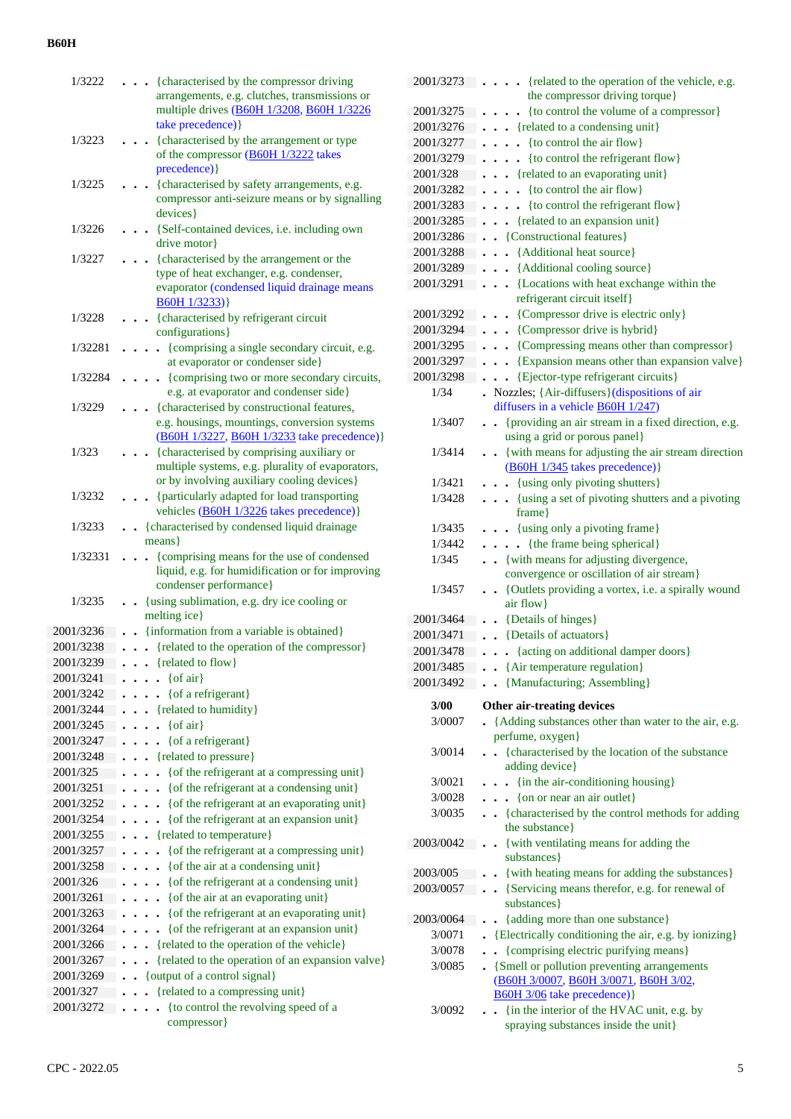| 1/3222                 |                      | take precedence) }               | {characterised by the compressor driving<br>arrangements, e.g. clutches, transmissions or<br>multiple drives (B60H 1/3208, B60H 1/3226 |
|------------------------|----------------------|----------------------------------|----------------------------------------------------------------------------------------------------------------------------------------|
| 1/3223                 |                      | precedence) }                    | {characterised by the arrangement or type<br>of the compressor (B60H 1/3222 takes                                                      |
| 1/3225                 |                      | devices}                         | {characterised by safety arrangements, e.g.<br>compressor anti-seizure means or by signalling                                          |
| 1/3226                 |                      | drive motor                      | {Self-contained devices, i.e. including own                                                                                            |
| 1/3227                 |                      |                                  | . {characterised by the arrangement or the                                                                                             |
|                        |                      | B60H1/3233)                      | type of heat exchanger, e.g. condenser,<br>evaporator (condensed liquid drainage means                                                 |
| 1/3228                 |                      | configurations }                 | {characterised by refrigerant circuit                                                                                                  |
| 1/32281                |                      |                                  | {comprising a single secondary circuit, e.g.                                                                                           |
| 1/32284                |                      | $\ddot{\phantom{0}}$             | at evaporator or condenser side}<br>{comprising two or more secondary circuits,                                                        |
|                        |                      |                                  | e.g. at evaporator and condenser side}                                                                                                 |
| 1/3229                 |                      |                                  | {characterised by constructional features,                                                                                             |
|                        |                      |                                  | e.g. housings, mountings, conversion systems<br>(B60H 1/3227, B60H 1/3233 take precedence)}                                            |
| 1/323                  |                      |                                  | {characterised by comprising auxiliary or                                                                                              |
|                        |                      |                                  | multiple systems, e.g. plurality of evaporators,                                                                                       |
|                        |                      |                                  | or by involving auxiliary cooling devices}                                                                                             |
| 1/3232                 |                      |                                  | {particularly adapted for load transporting<br>vehicles (B60H 1/3226 takes precedence)}                                                |
| 1/3233                 |                      | $means\}$                        | {characterised by condensed liquid drainage                                                                                            |
| 1/32331                |                      |                                  | {comprising means for the use of condensed                                                                                             |
|                        |                      |                                  | liquid, e.g. for humidification or for improving                                                                                       |
|                        |                      |                                  | condenser performance}                                                                                                                 |
| 1/3235                 |                      |                                  | {using sublimation, e.g. dry ice cooling or                                                                                            |
|                        |                      | melting ice}                     |                                                                                                                                        |
| 2001/3236<br>2001/3238 |                      |                                  | {information from a variable is obtained}<br>. {related to the operation of the compressor}                                            |
| 2001/3239              | $\ddot{\phantom{0}}$ | $\bullet$ {related to flow}      |                                                                                                                                        |
| 2001/3241              |                      | {of air}<br>$\ddot{\phantom{0}}$ |                                                                                                                                        |
| 2001/3242              |                      | {of a refrigerant}               |                                                                                                                                        |
| 2001/3244              |                      | {related to humidity}            |                                                                                                                                        |
| 2001/3245              |                      | {of air}                         |                                                                                                                                        |
| 2001/3247              |                      | {of a refrigerant}<br>$\bullet$  |                                                                                                                                        |
| 2001/3248              |                      | {related to pressure}            |                                                                                                                                        |
| 2001/325               |                      |                                  | {of the refrigerant at a compressing unit}                                                                                             |
| 2001/3251              |                      |                                  | {of the refrigerant at a condensing unit}                                                                                              |
| 2001/3252              |                      | $\ddot{\phantom{0}}$             | {of the refrigerant at an evaporating unit}                                                                                            |
| 2001/3254              |                      |                                  | {of the refrigerant at an expansion unit}                                                                                              |
| 2001/3255              |                      |                                  | {related to temperature}                                                                                                               |
| 2001/3257              |                      |                                  | {of the refrigerant at a compressing unit}                                                                                             |
| 2001/3258              |                      |                                  | {of the air at a condensing unit}                                                                                                      |
| 2001/326               |                      |                                  | {of the refrigerant at a condensing unit}                                                                                              |
| 2001/3261              |                      | $\ddot{\phantom{0}}$             | {of the air at an evaporating unit}                                                                                                    |
| 2001/3263<br>2001/3264 |                      |                                  | {of the refrigerant at an evaporating unit}<br>{of the refrigerant at an expansion unit}                                               |
| 2001/3266              |                      |                                  | {related to the operation of the vehicle}                                                                                              |
| 2001/3267              |                      |                                  | {related to the operation of an expansion valve}                                                                                       |
| 2001/3269              |                      |                                  | {output of a control signal}                                                                                                           |
| 2001/327               |                      |                                  | • {related to a compressing unit}                                                                                                      |
| 2001/3272              |                      |                                  | • {to control the revolving speed of a                                                                                                 |
|                        |                      | compressor}                      |                                                                                                                                        |

| 2001/3273 | . {related to the operation of the vehicle, e.g.                                                           |
|-----------|------------------------------------------------------------------------------------------------------------|
|           | the compressor driving torque}                                                                             |
| 2001/3275 | • {to control the volume of a compressor}<br>$\ddot{\phantom{0}}$                                          |
| 2001/3276 | . {related to a condensing unit}                                                                           |
| 2001/3277 | {to control the air flow}<br>$\ddot{\phantom{0}}$                                                          |
| 2001/3279 | {to control the refrigerant flow}<br>$\ddot{\phantom{0}}$                                                  |
| 2001/328  | {related to an evaporating unit}<br>$\ddot{\phantom{a}}$                                                   |
| 2001/3282 | {to control the air flow}<br>$\ddot{\phantom{0}}$<br>$\ddot{\phantom{0}}$                                  |
| 2001/3283 | $\bullet$ {to control the refrigerant flow}<br>$\ddot{\phantom{0}}$                                        |
| 2001/3285 | {related to an expansion unit}<br>$\ddot{\phantom{0}}$<br>$\bullet$                                        |
| 2001/3286 | • {Constructional features}                                                                                |
| 2001/3288 | {Additional heat source}                                                                                   |
| 2001/3289 | {Additional cooling source}<br>$\ddot{\phantom{0}}$                                                        |
| 2001/3291 | {Locations with heat exchange within the<br>$\ddot{\phantom{a}}$                                           |
|           | refrigerant circuit itself}                                                                                |
| 2001/3292 | {Compressor drive is electric only}                                                                        |
| 2001/3294 | {Compressor drive is hybrid}                                                                               |
| 2001/3295 | {Compressing means other than compressor}<br>$\ddot{\phantom{0}}$                                          |
| 2001/3297 | {Expansion means other than expansion valve}<br>$\ddot{\phantom{0}}$                                       |
| 2001/3298 | {Ejector-type refrigerant circuits}                                                                        |
| 1/34      | $\bullet$ Nozzles; {Air-diffusers} (dispositions of air                                                    |
|           | diffusers in a vehicle $\underline{B60H}$ 1/247)                                                           |
| 1/3407    | {providing an air stream in a fixed direction, e.g.<br>$\sim$                                              |
|           | using a grid or porous panel)                                                                              |
| 1/3414    | {with means for adjusting the air stream direction<br>$\ddot{\phantom{0}}$                                 |
|           | (B60H 1/345 takes precedence)}                                                                             |
| 1/3421    | {using only pivoting shutters}<br>$\ddot{\phantom{0}}$                                                     |
| 1/3428    | {using a set of pivoting shutters and a pivoting<br>$\bullet$                                              |
|           | frame}                                                                                                     |
| 1/3435    | . . {using only a pivoting frame}                                                                          |
| 1/3442    | • {the frame being spherical}                                                                              |
| 1/345     | {with means for adjusting divergence,<br>$\ddot{\phantom{0}}$                                              |
|           | convergence or oscillation of air stream}                                                                  |
| 1/3457    | {Outlets providing a vortex, i.e. a spirally wound<br>$\ddot{\phantom{0}}$                                 |
|           | air flow}                                                                                                  |
| 2001/3464 | {Details of hinges}<br>$\ddot{\phantom{0}}$                                                                |
| 2001/3471 | {Details of actuators}<br>$\ddot{\phantom{0}}$                                                             |
| 2001/3478 | {acting on additional damper doors}<br>$\ddot{\phantom{0}}$<br>$\ddot{\phantom{0}}$                        |
| 2001/3485 | • {Air temperature regulation}                                                                             |
| 2001/3492 | . . {Manufacturing; Assembling}                                                                            |
|           |                                                                                                            |
| 3/00      | Other air-treating devices                                                                                 |
| 3/0007    | {Adding substances other than water to the air, e.g.                                                       |
|           | perfume, oxygen}                                                                                           |
| 3/0014    | {characterised by the location of the substance<br>$\overline{a}$                                          |
|           | adding device}                                                                                             |
| 3/0021    | {in the air-conditioning housing}<br>$\ddot{\phantom{0}}$                                                  |
| 3/0028    |                                                                                                            |
|           | {on or near an air outlet}                                                                                 |
| 3/0035    | {characterised by the control methods for adding<br>$\sim$                                                 |
|           | the substance }                                                                                            |
| 2003/0042 | {with ventilating means for adding the<br>$\bullet$                                                        |
|           | substances }                                                                                               |
| 2003/005  | {with heating means for adding the substances}                                                             |
| 2003/0057 | {Servicing means therefor, e.g. for renewal of<br>$\bullet$                                                |
|           | substances }                                                                                               |
| 2003/0064 | {adding more than one substance}                                                                           |
| 3/0071    | {Electrically conditioning the air, e.g. by ionizing}                                                      |
| 3/0078    | {comprising electric purifying means}                                                                      |
| 3/0085    | {Smell or pollution preventing arrangements                                                                |
|           | (В60Н 3/0007, В60Н 3/0071, В60Н 3/02,                                                                      |
|           | <b>B60H 3/06</b> take precedence) }                                                                        |
| 3/0092    | {in the interior of the HVAC unit, e.g. by<br>$\ddot{\phantom{a}}$<br>spraying substances inside the unit} |